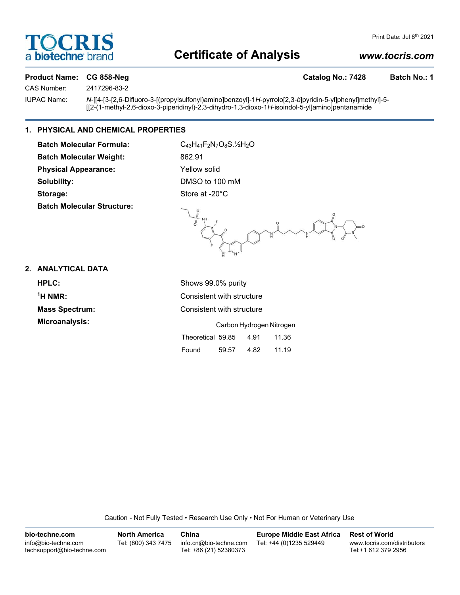# **FOCRI** a biotechne bi

# **Certificate of Analysis**

# *www.tocris.com*

## Product Name: CG 858-Neg **Catalog No.: 7428** Batch No.: 1

CAS Number: 2417296-83-2

IUPAC Name: *N*-[[4-[3-[2,6-Difluoro-3-[(propylsulfonyl)amino]benzoyl]-1*H*-pyrrolo[2,3-*b*]pyridin-5-yl]phenyl]methyl]-5- [[2-(1-methyl-2,6-dioxo-3-piperidinyl)-2,3-dihydro-1,3-dioxo-1*H*-isoindol-5-yl]amino]pentanamide

## **1. PHYSICAL AND CHEMICAL PROPERTIES**

**Batch Molecular Formula:** C<sub>43</sub>H<sub>41</sub>F<sub>2</sub>N<sub>7</sub>O<sub>8</sub>S.<sup>1</sup>/<sub>2</sub>O Batch Molecular Weight: 862.91 Physical Appearance: Yellow solid **Solubility:** DMSO to 100 mM Storage: Store at -20°C **Batch Molecular Structure:**

 $O = \frac{1}{2}$  $\mu$  $\overline{H}$ 

# **2. ANALYTICAL DATA**

| HPLC:                 | Shows 99.0% purity                 |  |  |
|-----------------------|------------------------------------|--|--|
| $1H NMR$ :            | Consistent with structure          |  |  |
| <b>Mass Spectrum:</b> | Consistent with structure          |  |  |
| Microanalysis:        | Carbon Hydrogen Nitrogen           |  |  |
|                       | Theoretical 59.85<br>4.91<br>11.36 |  |  |

| Caution - Not Fully Tested • Research Use Only • Not For Human or Veterinary Use |  |  |
|----------------------------------------------------------------------------------|--|--|
|                                                                                  |  |  |
|                                                                                  |  |  |

Found 59.57 4.82 11.19

| bio-techne.com                                    | <b>North America</b> | China                                            | <b>Europe Middle East Africa</b> | <b>Rest of World</b>                               |
|---------------------------------------------------|----------------------|--------------------------------------------------|----------------------------------|----------------------------------------------------|
| info@bio-techne.com<br>techsupport@bio-techne.com | Tel: (800) 343 7475  | info.cn@bio-techne.com<br>Tel: +86 (21) 52380373 | Tel: +44 (0)1235 529449          | www.tocris.com/distributors<br>Tel:+1 612 379 2956 |